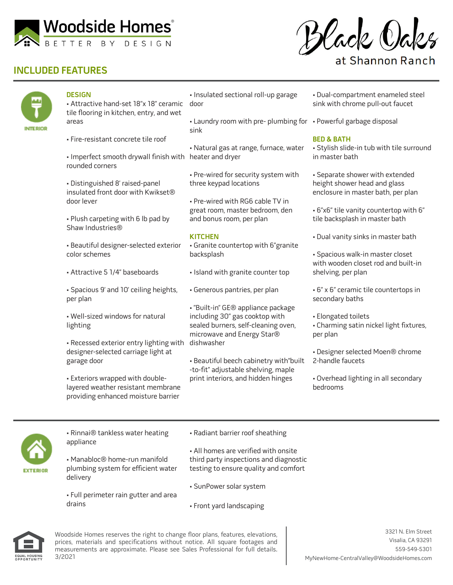

# **INCLUDED FEATURES**



### **DESIGN**

• Attractive hand-set 18"x 18" ceramic door tile flooring in kitchen, entry, and wet areas

- Fire-resistant concrete tile roof
- Imperfect smooth drywall finish with heater and dryer rounded corners
- Distinguished 8' raised-panel insulated front door with Kwikset® door lever
- Plush carpeting with 6 lb pad by Shaw Industries®

• Beautiful designer-selected exterior color schemes

- Attractive 5 1/4" baseboards
- Spacious 9' and 10' ceiling heights, per plan
- Well-sized windows for natural lighting

• Recessed exterior entry lighting with designer-selected carriage light at garage door

• Exteriors wrapped with doublelayered weather resistant membrane providing enhanced moisture barrier

• Insulated sectional roll-up garage

• Laundry room with pre- plumbing for • Powerful garbage disposal sink

- Natural gas at range, furnace, water
- Pre-wired for security system with three keypad locations

• Pre-wired with RG6 cable TV in great room, master bedroom, den and bonus room, per plan

### **KITCHEN**

• Granite countertop with 6"granite backsplash

- Island with granite counter top
- Generous pantries, per plan

• "Built-in" GE® appliance package including 30" gas cooktop with sealed burners, self-cleaning oven, microwave and Energy Star® dishwasher

• Beautiful beech cabinetry with"built -to-fit" adjustable shelving, maple print interiors, and hidden hinges

- Dual-compartment enameled steel sink with chrome pull-out faucet
- 

#### **BED & BATH**

• Stylish slide-in tub with tile surround in master bath

- Separate shower with extended height shower head and glass enclosure in master bath, per plan
- 6"x6" tile vanity countertop with 6" tile backsplash in master bath
- Dual vanity sinks in master bath
- Spacious walk-in master closet with wooden closet rod and built-in shelving, per plan
- 6" x 6" ceramic tile countertops in secondary baths
- Elongated toilets
- Charming satin nickel light fixtures, per plan
- Designer selected Moen® chrome 2-handle faucets
- Overhead lighting in all secondary bedrooms



• Rinnai® tankless water heating appliance

• Manabloc® home-run manifold plumbing system for efficient water delivery

• Full perimeter rain gutter and area drains

• Radiant barrier roof sheathing

• All homes are verified with onsite third party inspections and diagnostic testing to ensure quality and comfort

- SunPower solar system
- Front yard landscaping



Woodside Homes reserves the right to change floor plans, features, elevations, prices, materials and specifications without notice. All square footages and measurements are approximate. Please see Sales Professional for full details. 3/2021